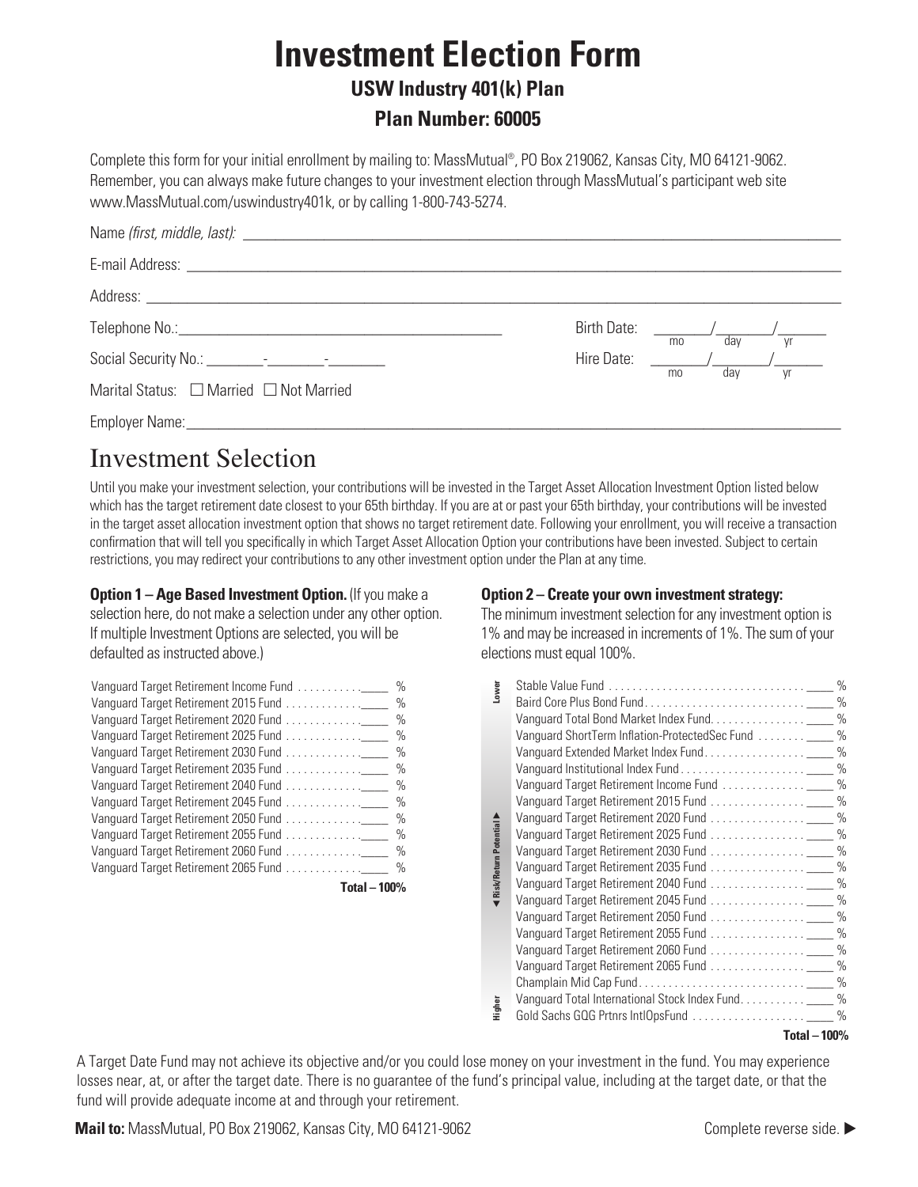# **Investment Election Form**

#### **USW Industry 401(k) Plan**

**Plan Number: 60005**

Complete this form for your initial enrollment by mailing to: MassMutual®, PO Box 219062, Kansas City, MO 64121-9062. Remember, you can always make future changes to your investment election through MassMutual's participant web site www.MassMutual.com/uswindustry401k, or by calling 1-800-743-5274.

|                                         | Birth Date: / / / |    | dav | Vr |
|-----------------------------------------|-------------------|----|-----|----|
|                                         | Hire Date:        | mo |     |    |
| Marital Status: □ Married □ Not Married |                   | mo | dav | Vr |
|                                         |                   |    |     |    |

## Investment Selection

Until you make your investment selection, your contributions will be invested in the Target Asset Allocation Investment Option listed below which has the target retirement date closest to your 65th birthday. If you are at or past your 65th birthday, your contributions will be invested in the target asset allocation investment option that shows no target retirement date. Following your enrollment, you will receive a transaction confirmation that will tell you specifically in which Target Asset Allocation Option your contributions have been invested. Subject to certain restrictions, you may redirect your contributions to any other investment option under the Plan at any time.

**Option 1 – Age Based Investment Option.** (If you make a selection here, do not make a selection under any other option. If multiple Investment Options are selected, you will be defaulted as instructed above.)

|                 | $\%$ |
|-----------------|------|
|                 | $\%$ |
|                 | $\%$ |
|                 | $\%$ |
|                 | $\%$ |
|                 | $\%$ |
|                 | $\%$ |
|                 | $\%$ |
|                 | $\%$ |
|                 | $\%$ |
|                 | $\%$ |
|                 | $\%$ |
| $Total - 100\%$ |      |

#### **Option 2 – Create your own investment strategy:**

The minimum investment selection for any investment option is 1% and may be increased in increments of 1%. The sum of your elections must equal 100%.

| Lower                         |                                                        |  |
|-------------------------------|--------------------------------------------------------|--|
|                               |                                                        |  |
|                               |                                                        |  |
|                               | Vanguard ShortTerm Inflation-ProtectedSec Fund _____ % |  |
|                               |                                                        |  |
|                               |                                                        |  |
|                               |                                                        |  |
|                               |                                                        |  |
| <b>Elisk/Return Potential</b> |                                                        |  |
|                               |                                                        |  |
|                               |                                                        |  |
|                               |                                                        |  |
|                               | Vanguard Target Retirement 2040 Fund _____ %           |  |
|                               |                                                        |  |
|                               |                                                        |  |
|                               |                                                        |  |
| Higher                        |                                                        |  |
|                               |                                                        |  |
|                               |                                                        |  |
|                               |                                                        |  |
|                               |                                                        |  |
|                               | $Total - 100%$                                         |  |

A Target Date Fund may not achieve its objective and/or you could lose money on your investment in the fund. You may experience losses near, at, or after the target date. There is no guarantee of the fund's principal value, including at the target date, or that the fund will provide adequate income at and through your retirement.